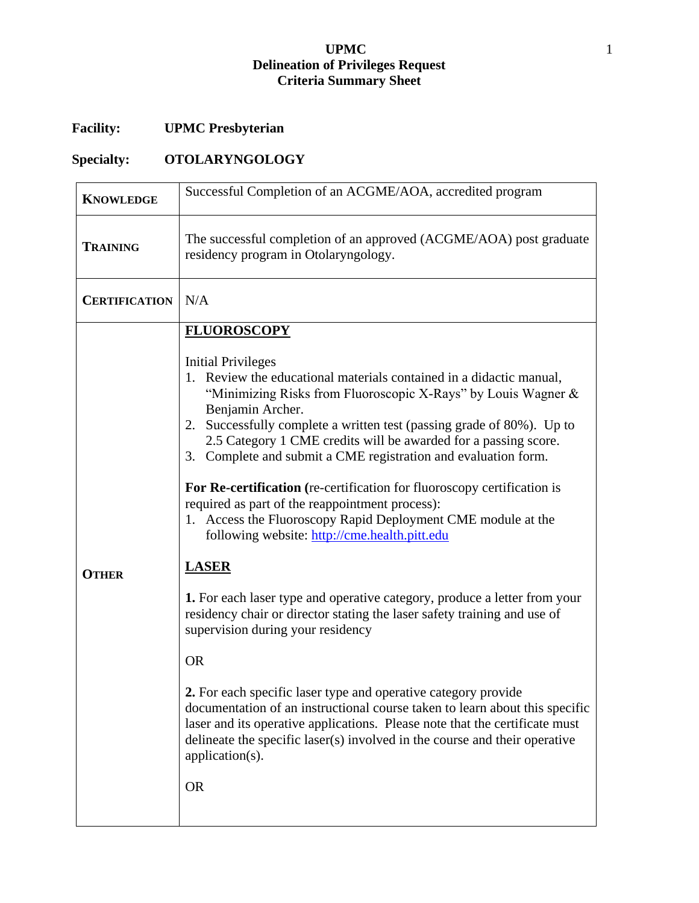## **UPMC** 1 **Delineation of Privileges Request Criteria Summary Sheet**

## **Facility: UPMC Presbyterian**

## **Specialty: OTOLARYNGOLOGY**

| <b>KNOWLEDGE</b>     | Successful Completion of an ACGME/AOA, accredited program                                                                                                                                                                                                                                                                                                                                                                                                                                                                         |
|----------------------|-----------------------------------------------------------------------------------------------------------------------------------------------------------------------------------------------------------------------------------------------------------------------------------------------------------------------------------------------------------------------------------------------------------------------------------------------------------------------------------------------------------------------------------|
| <b>TRAINING</b>      | The successful completion of an approved (ACGME/AOA) post graduate<br>residency program in Otolaryngology.                                                                                                                                                                                                                                                                                                                                                                                                                        |
| <b>CERTIFICATION</b> | N/A                                                                                                                                                                                                                                                                                                                                                                                                                                                                                                                               |
|                      | <b>Initial Privileges</b><br>1. Review the educational materials contained in a didactic manual,<br>"Minimizing Risks from Fluoroscopic X-Rays" by Louis Wagner &<br>Benjamin Archer.<br>2. Successfully complete a written test (passing grade of 80%). Up to<br>2.5 Category 1 CME credits will be awarded for a passing score.<br>3. Complete and submit a CME registration and evaluation form.<br>For Re-certification (re-certification for fluoroscopy certification is<br>required as part of the reappointment process): |
| <b>OTHER</b>         | 1. Access the Fluoroscopy Rapid Deployment CME module at the<br>following website: http://cme.health.pitt.edu<br><b>LASER</b>                                                                                                                                                                                                                                                                                                                                                                                                     |
|                      | 1. For each laser type and operative category, produce a letter from your<br>residency chair or director stating the laser safety training and use of<br>supervision during your residency<br><b>OR</b>                                                                                                                                                                                                                                                                                                                           |
|                      | <b>2.</b> For each specific laser type and operative category provide<br>documentation of an instructional course taken to learn about this specific<br>laser and its operative applications. Please note that the certificate must<br>delineate the specific laser(s) involved in the course and their operative<br>application(s).                                                                                                                                                                                              |
|                      | <b>OR</b>                                                                                                                                                                                                                                                                                                                                                                                                                                                                                                                         |